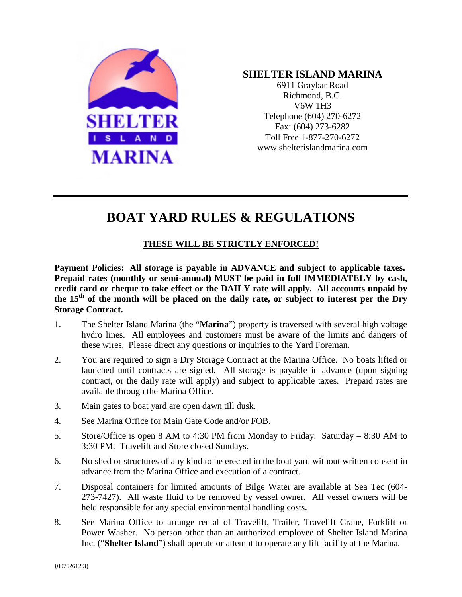

## **SHELTER ISLAND MARINA**

6911 Graybar Road Richmond, B.C. V6W 1H3 Telephone (604) 270-6272 Fax: (604) 273-6282 Toll Free 1-877-270-6272 www.shelterislandmarina.com

# **BOAT YARD RULES & REGULATIONS**

### **THESE WILL BE STRICTLY ENFORCED!**

**Payment Policies: All storage is payable in ADVANCE and subject to applicable taxes. Prepaid rates (monthly or semi-annual) MUST be paid in full IMMEDIATELY by cash, credit card or cheque to take effect or the DAILY rate will apply. All accounts unpaid by the 15th of the month will be placed on the daily rate, or subject to interest per the Dry Storage Contract.**

- 1. The Shelter Island Marina (the "**Marina**") property is traversed with several high voltage hydro lines. All employees and customers must be aware of the limits and dangers of these wires. Please direct any questions or inquiries to the Yard Foreman.
- 2. You are required to sign a Dry Storage Contract at the Marina Office. No boats lifted or launched until contracts are signed. All storage is payable in advance (upon signing contract, or the daily rate will apply) and subject to applicable taxes. Prepaid rates are available through the Marina Office.
- 3. Main gates to boat yard are open dawn till dusk.
- 4. See Marina Office for Main Gate Code and/or FOB.
- 5. Store/Office is open 8 AM to 4:30 PM from Monday to Friday. Saturday 8:30 AM to 3:30 PM. Travelift and Store closed Sundays.
- 6. No shed or structures of any kind to be erected in the boat yard without written consent in advance from the Marina Office and execution of a contract.
- 7. Disposal containers for limited amounts of Bilge Water are available at Sea Tec (604- 273-7427). All waste fluid to be removed by vessel owner. All vessel owners will be held responsible for any special environmental handling costs.
- 8. See Marina Office to arrange rental of Travelift, Trailer, Travelift Crane, Forklift or Power Washer.No person other than an authorized employee of Shelter Island Marina Inc. ("**Shelter Island**") shall operate or attempt to operate any lift facility at the Marina.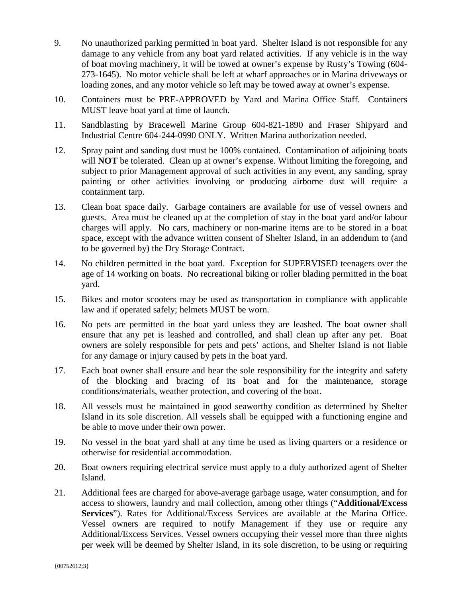- 9. No unauthorized parking permitted in boat yard. Shelter Island is not responsible for any damage to any vehicle from any boat yard related activities. If any vehicle is in the way of boat moving machinery, it will be towed at owner's expense by Rusty's Towing (604- 273-1645). No motor vehicle shall be left at wharf approaches or in Marina driveways or loading zones, and any motor vehicle so left may be towed away at owner's expense.
- 10. Containers must be PRE-APPROVED by Yard and Marina Office Staff. Containers MUST leave boat yard at time of launch.
- 11. Sandblasting by Bracewell Marine Group 604-821-1890 and Fraser Shipyard and Industrial Centre 604-244-0990 ONLY. Written Marina authorization needed.
- 12. Spray paint and sanding dust must be 100% contained. Contamination of adjoining boats will **NOT** be tolerated. Clean up at owner's expense. Without limiting the foregoing, and subject to prior Management approval of such activities in any event, any sanding, spray painting or other activities involving or producing airborne dust will require a containment tarp.
- 13. Clean boat space daily. Garbage containers are available for use of vessel owners and guests. Area must be cleaned up at the completion of stay in the boat yard and/or labour charges will apply. No cars, machinery or non-marine items are to be stored in a boat space, except with the advance written consent of Shelter Island, in an addendum to (and to be governed by) the Dry Storage Contract.
- 14. No children permitted in the boat yard. Exception for SUPERVISED teenagers over the age of 14 working on boats. No recreational biking or roller blading permitted in the boat yard.
- 15. Bikes and motor scooters may be used as transportation in compliance with applicable law and if operated safely; helmets MUST be worn.
- 16. No pets are permitted in the boat yard unless they are leashed. The boat owner shall ensure that any pet is leashed and controlled, and shall clean up after any pet. Boat owners are solely responsible for pets and pets' actions, and Shelter Island is not liable for any damage or injury caused by pets in the boat yard.
- 17. Each boat owner shall ensure and bear the sole responsibility for the integrity and safety of the blocking and bracing of its boat and for the maintenance, storage conditions/materials, weather protection, and covering of the boat.
- 18. All vessels must be maintained in good seaworthy condition as determined by Shelter Island in its sole discretion. All vessels shall be equipped with a functioning engine and be able to move under their own power.
- 19. No vessel in the boat yard shall at any time be used as living quarters or a residence or otherwise for residential accommodation.
- 20. Boat owners requiring electrical service must apply to a duly authorized agent of Shelter Island.
- 21. Additional fees are charged for above-average garbage usage, water consumption, and for access to showers, laundry and mail collection, among other things ("**Additional/Excess Services**"). Rates for Additional/Excess Services are available at the Marina Office. Vessel owners are required to notify Management if they use or require any Additional/Excess Services. Vessel owners occupying their vessel more than three nights per week will be deemed by Shelter Island, in its sole discretion, to be using or requiring